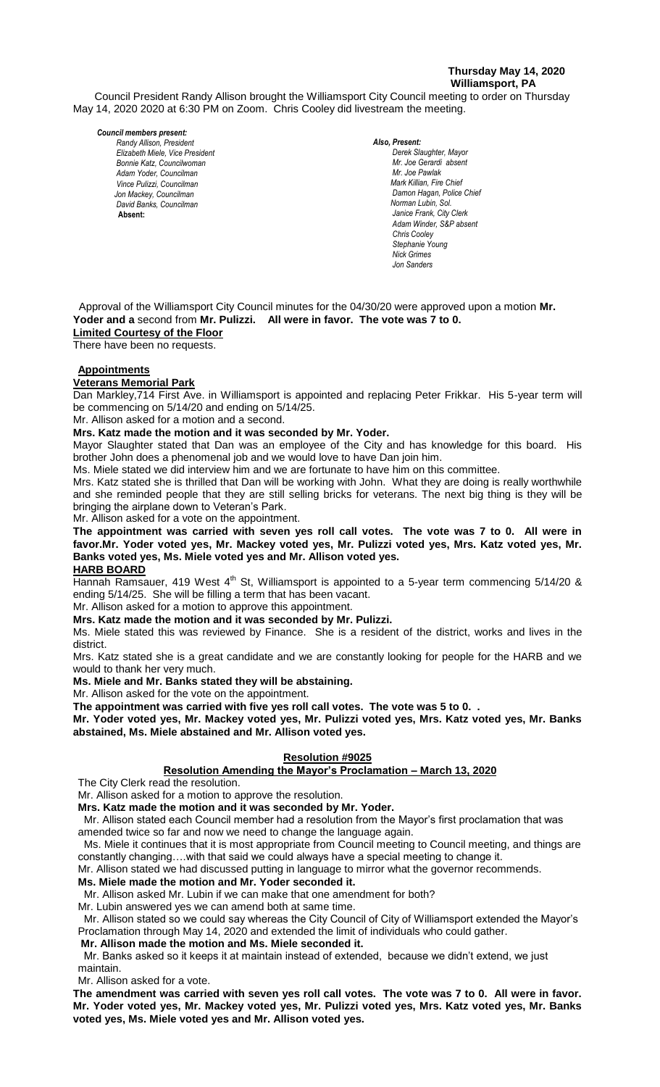### **Thursday May 14, 2020 Williamsport, PA**

Council President Randy Allison brought the Williamsport City Council meeting to order on Thursday May 14, 2020 2020 at 6:30 PM on Zoom. Chris Cooley did livestream the meeting.

#### *Council members present:*

*Randy Allison, President , President Elizabeth Miele, Vice President Bill Hall, Councilman Bonnie Katz, Councilwoman Adam Yoder, Councilman Vince Pulizzi, Councilman Jon Mackey, Councilman David Banks, Councilman* **Absent:** 

#### *Also, Present:*  **Derek Slaughter, Mayor** *Mr. Joe Gerardi absent Mr. Joseph Pawlak Mr. Joe Pawlak Mark Killian, Fire Chief Adam Winder C. Dean Heinbach, Fire Chief* **Damon Hagan, Police Chief**  *Norman Lubin, Sol. Janice Frank, City Clerk Adam Winder, S&P absent Chris Cooley Stephanie Young Nick Grimes Jon Sanders*

 Approval of the Williamsport City Council minutes for the 04/30/20 were approved upon a motion **Mr. Yoder and a** second from **Mr. Pulizzi. All were in favor. The vote was 7 to 0. Limited Courtesy of the Floor**

There have been no requests.

# **Appointments**

**Veterans Memorial Park**

veterans memonal Park<br>Dan Markley,714 First Ave. in Williamsport is appointed and replacing Peter Frikkar. His 5-year term will be commencing on 5/14/20 and ending on 5/14/25. *Mr. Joe Pawlak*

Mr. Allison asked for a motion and a second.

**Mrs. Katz made the motion and it was seconded by Mr. Yoder.**

mis. Rath made the metter and it was seconded by im. Toden.<br>Mayor Slaughter stated that Dan was an employee of the City and has knowledge for this board. His brother John does a phenomenal job and we would love to have Dan join him. *Todd Heckman, Fire Chief , Janice Frank, City Clerk, absent*

Ms. Miele stated we did interview him and we are fortunate to have him on this committee.

Mrs. Katz stated she is thrilled that Dan will be working with John. What they are doing is really worthwhile and she reminded people that they are still selling bricks for veterans. The next big thing is they will be bringing the airplane down to Veteran's Park.

Mr. Allison asked for a vote on the appointment.

**The appointment was carried with seven yes roll call votes. The vote was 7 to 0. All were in favor.Mr. Yoder voted yes, Mr. Mackey voted yes, Mr. Pulizzi voted yes, Mrs. Katz voted yes, Mr. Banks voted yes, Ms. Miele voted yes and Mr. Allison voted yes. HARB BOARD** *Members of News Media Members of the news media*

Hannah Ramsauer, 419 West 4<sup>th</sup> St, Williamsport is appointed to a 5-year term commencing 5/14/20 & ending 5/14/25. She will be filling a term that has been vacant.

Mr. Allison asked for a motion to approve this appointment.

**Mrs. Katz made the motion and it was seconded by Mr. Pulizzi.**

Ms. Miele stated this was reviewed by Finance. She is a resident of the district, works and lives in the district.

Mrs. Katz stated she is a great candidate and we are constantly looking for people for the HARB and we would to thank her very much.

**Ms. Miele and Mr. Banks stated they will be abstaining.** 

Mr. Allison asked for the vote on the appointment.

**The appointment was carried with five yes roll call votes. The vote was 5 to 0. .**

**Mr. Yoder voted yes, Mr. Mackey voted yes, Mr. Pulizzi voted yes, Mrs. Katz voted yes, Mr. Banks abstained, Ms. Miele abstained and Mr. Allison voted yes.**

### **Resolution #9025**

### **Resolution Amending the Mayor's Proclamation – March 13, 2020**

The City Clerk read the resolution.

Mr. Allison asked for a motion to approve the resolution.

**Mrs. Katz made the motion and it was seconded by Mr. Yoder.**

 Mr. Allison stated each Council member had a resolution from the Mayor's first proclamation that was amended twice so far and now we need to change the language again.

 Ms. Miele it continues that it is most appropriate from Council meeting to Council meeting, and things are constantly changing….with that said we could always have a special meeting to change it.

Mr. Allison stated we had discussed putting in language to mirror what the governor recommends.

**Ms. Miele made the motion and Mr. Yoder seconded it.**

Mr. Allison asked Mr. Lubin if we can make that one amendment for both?

Mr. Lubin answered yes we can amend both at same time.

 Mr. Allison stated so we could say whereas the City Council of City of Williamsport extended the Mayor's Proclamation through May 14, 2020 and extended the limit of individuals who could gather.

# **Mr. Allison made the motion and Ms. Miele seconded it.**

 Mr. Banks asked so it keeps it at maintain instead of extended, because we didn't extend, we just maintain.

Mr. Allison asked for a vote.

**The amendment was carried with seven yes roll call votes. The vote was 7 to 0. All were in favor. Mr. Yoder voted yes, Mr. Mackey voted yes, Mr. Pulizzi voted yes, Mrs. Katz voted yes, Mr. Banks voted yes, Ms. Miele voted yes and Mr. Allison voted yes.**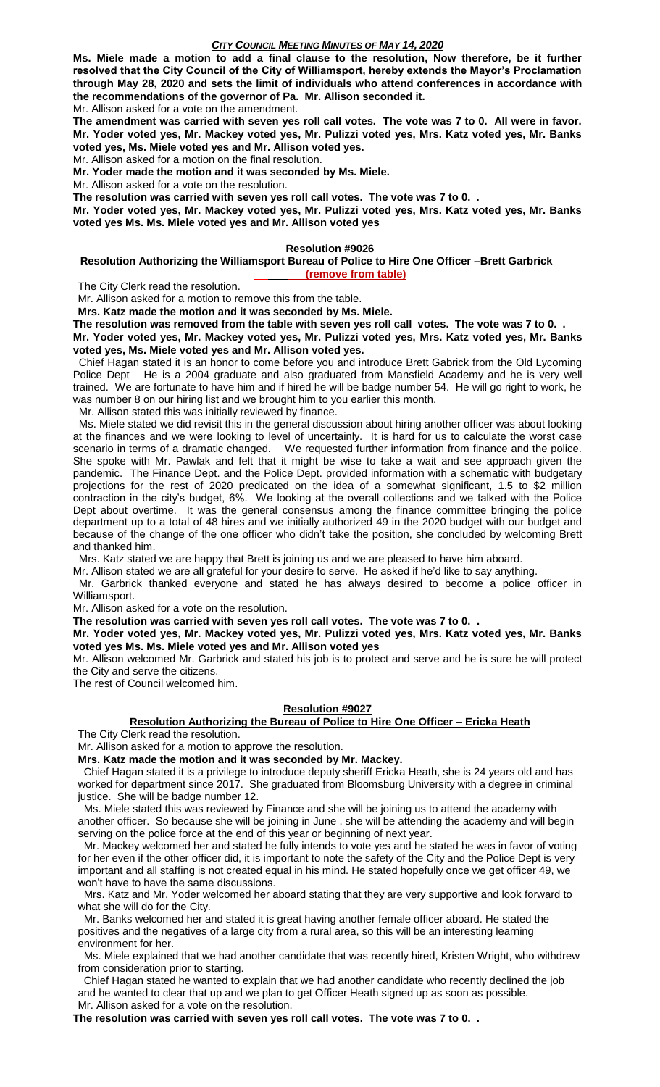**Ms. Miele made a motion to add a final clause to the resolution, Now therefore, be it further resolved that the City Council of the City of Williamsport, hereby extends the Mayor's Proclamation through May 28, 2020 and sets the limit of individuals who attend conferences in accordance with the recommendations of the governor of Pa. Mr. Allison seconded it.** Mr. Allison asked for a vote on the amendment.

**The amendment was carried with seven yes roll call votes. The vote was 7 to 0. All were in favor. Mr. Yoder voted yes, Mr. Mackey voted yes, Mr. Pulizzi voted yes, Mrs. Katz voted yes, Mr. Banks voted yes, Ms. Miele voted yes and Mr. Allison voted yes.**

Mr. Allison asked for a motion on the final resolution.

**Mr. Yoder made the motion and it was seconded by Ms. Miele.**

Mr. Allison asked for a vote on the resolution.

**The resolution was carried with seven yes roll call votes. The vote was 7 to 0. .**

**Mr. Yoder voted yes, Mr. Mackey voted yes, Mr. Pulizzi voted yes, Mrs. Katz voted yes, Mr. Banks voted yes Ms. Ms. Miele voted yes and Mr. Allison voted yes**

#### **Resolution #9026**

#### **Resolution Authorizing the Williamsport Bureau of Police to Hire One Officer –Brett Garbrick (remove from table)**

The City Clerk read the resolution.

Mr. Allison asked for a motion to remove this from the table.

**Mrs. Katz made the motion and it was seconded by Ms. Miele.**

**The resolution was removed from the table with seven yes roll call votes. The vote was 7 to 0. .**

**Mr. Yoder voted yes, Mr. Mackey voted yes, Mr. Pulizzi voted yes, Mrs. Katz voted yes, Mr. Banks voted yes, Ms. Miele voted yes and Mr. Allison voted yes.**

 Chief Hagan stated it is an honor to come before you and introduce Brett Gabrick from the Old Lycoming Police Dept He is a 2004 graduate and also graduated from Mansfield Academy and he is very well trained. We are fortunate to have him and if hired he will be badge number 54. He will go right to work, he was number 8 on our hiring list and we brought him to you earlier this month.

Mr. Allison stated this was initially reviewed by finance.

 Ms. Miele stated we did revisit this in the general discussion about hiring another officer was about looking at the finances and we were looking to level of uncertainly. It is hard for us to calculate the worst case scenario in terms of a dramatic changed. We requested further information from finance and the police. She spoke with Mr. Pawlak and felt that it might be wise to take a wait and see approach given the pandemic. The Finance Dept. and the Police Dept. provided information with a schematic with budgetary projections for the rest of 2020 predicated on the idea of a somewhat significant, 1.5 to \$2 million contraction in the city's budget, 6%. We looking at the overall collections and we talked with the Police Dept about overtime. It was the general consensus among the finance committee bringing the police department up to a total of 48 hires and we initially authorized 49 in the 2020 budget with our budget and because of the change of the one officer who didn't take the position, she concluded by welcoming Brett and thanked him.

Mrs. Katz stated we are happy that Brett is joining us and we are pleased to have him aboard.

Mr. Allison stated we are all grateful for your desire to serve. He asked if he'd like to say anything.

 Mr. Garbrick thanked everyone and stated he has always desired to become a police officer in Williamsport.

Mr. Allison asked for a vote on the resolution.

**The resolution was carried with seven yes roll call votes. The vote was 7 to 0. .**

**Mr. Yoder voted yes, Mr. Mackey voted yes, Mr. Pulizzi voted yes, Mrs. Katz voted yes, Mr. Banks voted yes Ms. Ms. Miele voted yes and Mr. Allison voted yes**

Mr. Allison welcomed Mr. Garbrick and stated his job is to protect and serve and he is sure he will protect the City and serve the citizens.

The rest of Council welcomed him.

### **Resolution #9027**

### **Resolution Authorizing the Bureau of Police to Hire One Officer – Ericka Heath**

The City Clerk read the resolution.

Mr. Allison asked for a motion to approve the resolution.

**Mrs. Katz made the motion and it was seconded by Mr. Mackey.**

 Chief Hagan stated it is a privilege to introduce deputy sheriff Ericka Heath, she is 24 years old and has worked for department since 2017. She graduated from Bloomsburg University with a degree in criminal justice. She will be badge number 12.

 Ms. Miele stated this was reviewed by Finance and she will be joining us to attend the academy with another officer. So because she will be joining in June , she will be attending the academy and will begin serving on the police force at the end of this year or beginning of next year.

 Mr. Mackey welcomed her and stated he fully intends to vote yes and he stated he was in favor of voting for her even if the other officer did, it is important to note the safety of the City and the Police Dept is very important and all staffing is not created equal in his mind. He stated hopefully once we get officer 49, we won't have to have the same discussions.

 Mrs. Katz and Mr. Yoder welcomed her aboard stating that they are very supportive and look forward to what she will do for the City.

 Mr. Banks welcomed her and stated it is great having another female officer aboard. He stated the positives and the negatives of a large city from a rural area, so this will be an interesting learning environment for her.

 Ms. Miele explained that we had another candidate that was recently hired, Kristen Wright, who withdrew from consideration prior to starting.

 Chief Hagan stated he wanted to explain that we had another candidate who recently declined the job and he wanted to clear that up and we plan to get Officer Heath signed up as soon as possible. Mr. Allison asked for a vote on the resolution.

**The resolution was carried with seven yes roll call votes. The vote was 7 to 0. .**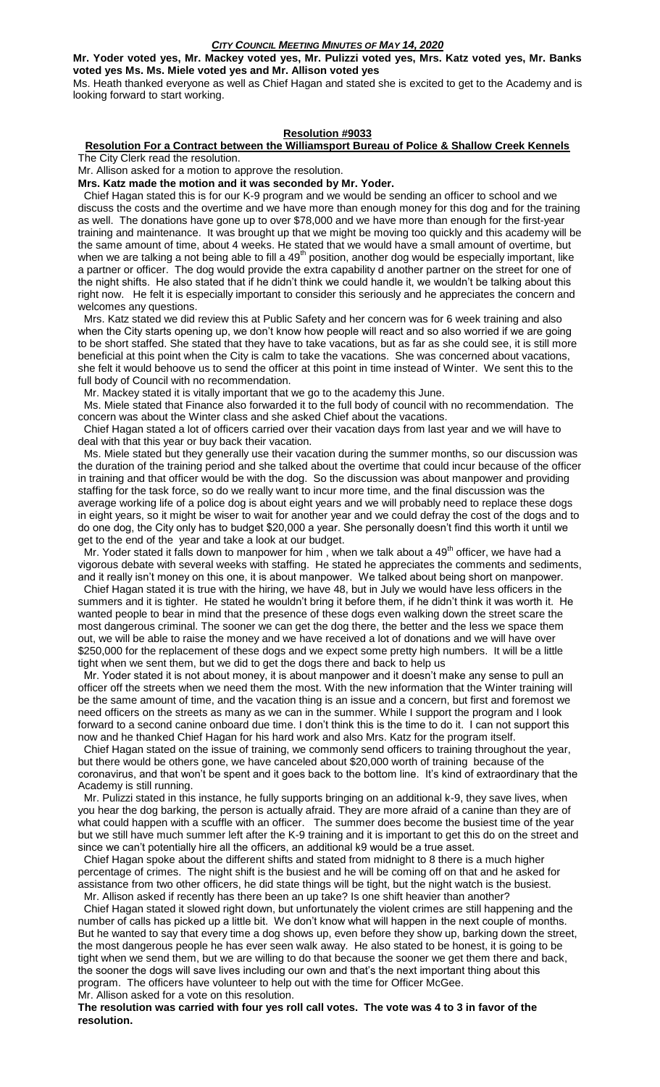**Mr. Yoder voted yes, Mr. Mackey voted yes, Mr. Pulizzi voted yes, Mrs. Katz voted yes, Mr. Banks** 

**voted yes Ms. Ms. Miele voted yes and Mr. Allison voted yes**

Ms. Heath thanked everyone as well as Chief Hagan and stated she is excited to get to the Academy and is looking forward to start working.

## **Resolution #9033**

# **Resolution For a Contract between the Williamsport Bureau of Police & Shallow Creek Kennels**

The City Clerk read the resolution.

Mr. Allison asked for a motion to approve the resolution.

**Mrs. Katz made the motion and it was seconded by Mr. Yoder.**

 Chief Hagan stated this is for our K-9 program and we would be sending an officer to school and we discuss the costs and the overtime and we have more than enough money for this dog and for the training as well. The donations have gone up to over \$78,000 and we have more than enough for the first-year training and maintenance. It was brought up that we might be moving too quickly and this academy will be the same amount of time, about 4 weeks. He stated that we would have a small amount of overtime, but when we are talking a not being able to fill a  $49<sup>th</sup>$  position, another dog would be especially important, like a partner or officer. The dog would provide the extra capability d another partner on the street for one of the night shifts. He also stated that if he didn't think we could handle it, we wouldn't be talking about this right now. He felt it is especially important to consider this seriously and he appreciates the concern and welcomes any questions.

 Mrs. Katz stated we did review this at Public Safety and her concern was for 6 week training and also when the City starts opening up, we don't know how people will react and so also worried if we are going to be short staffed. She stated that they have to take vacations, but as far as she could see, it is still more beneficial at this point when the City is calm to take the vacations. She was concerned about vacations, she felt it would behoove us to send the officer at this point in time instead of Winter. We sent this to the full body of Council with no recommendation.

Mr. Mackey stated it is vitally important that we go to the academy this June.

 Ms. Miele stated that Finance also forwarded it to the full body of council with no recommendation. The concern was about the Winter class and she asked Chief about the vacations.

 Chief Hagan stated a lot of officers carried over their vacation days from last year and we will have to deal with that this year or buy back their vacation.

 Ms. Miele stated but they generally use their vacation during the summer months, so our discussion was the duration of the training period and she talked about the overtime that could incur because of the officer in training and that officer would be with the dog. So the discussion was about manpower and providing staffing for the task force, so do we really want to incur more time, and the final discussion was the average working life of a police dog is about eight years and we will probably need to replace these dogs in eight years, so it might be wiser to wait for another year and we could defray the cost of the dogs and to do one dog, the City only has to budget \$20,000 a year. She personally doesn't find this worth it until we get to the end of the year and take a look at our budget.

Mr. Yoder stated it falls down to manpower for him, when we talk about a  $49<sup>th</sup>$  officer, we have had a vigorous debate with several weeks with staffing. He stated he appreciates the comments and sediments, and it really isn't money on this one, it is about manpower. We talked about being short on manpower.

 Chief Hagan stated it is true with the hiring, we have 48, but in July we would have less officers in the summers and it is tighter. He stated he wouldn't bring it before them, if he didn't think it was worth it. He wanted people to bear in mind that the presence of these dogs even walking down the street scare the most dangerous criminal. The sooner we can get the dog there, the better and the less we space them out, we will be able to raise the money and we have received a lot of donations and we will have over \$250,000 for the replacement of these dogs and we expect some pretty high numbers. It will be a little tight when we sent them, but we did to get the dogs there and back to help us

 Mr. Yoder stated it is not about money, it is about manpower and it doesn't make any sense to pull an officer off the streets when we need them the most. With the new information that the Winter training will be the same amount of time, and the vacation thing is an issue and a concern, but first and foremost we need officers on the streets as many as we can in the summer. While I support the program and I look forward to a second canine onboard due time. I don't think this is the time to do it. I can not support this now and he thanked Chief Hagan for his hard work and also Mrs. Katz for the program itself.

 Chief Hagan stated on the issue of training, we commonly send officers to training throughout the year, but there would be others gone, we have canceled about \$20,000 worth of training because of the coronavirus, and that won't be spent and it goes back to the bottom line. It's kind of extraordinary that the Academy is still running.

 Mr. Pulizzi stated in this instance, he fully supports bringing on an additional k-9, they save lives, when you hear the dog barking, the person is actually afraid. They are more afraid of a canine than they are of what could happen with a scuffle with an officer. The summer does become the busiest time of the year but we still have much summer left after the K-9 training and it is important to get this do on the street and since we can't potentially hire all the officers, an additional k9 would be a true asset.

 Chief Hagan spoke about the different shifts and stated from midnight to 8 there is a much higher percentage of crimes. The night shift is the busiest and he will be coming off on that and he asked for assistance from two other officers, he did state things will be tight, but the night watch is the busiest. Mr. Allison asked if recently has there been an up take? Is one shift heavier than another?

 Chief Hagan stated it slowed right down, but unfortunately the violent crimes are still happening and the number of calls has picked up a little bit. We don't know what will happen in the next couple of months. But he wanted to say that every time a dog shows up, even before they show up, barking down the street, the most dangerous people he has ever seen walk away. He also stated to be honest, it is going to be tight when we send them, but we are willing to do that because the sooner we get them there and back, the sooner the dogs will save lives including our own and that's the next important thing about this program. The officers have volunteer to help out with the time for Officer McGee.

Mr. Allison asked for a vote on this resolution.

**The resolution was carried with four yes roll call votes. The vote was 4 to 3 in favor of the resolution.**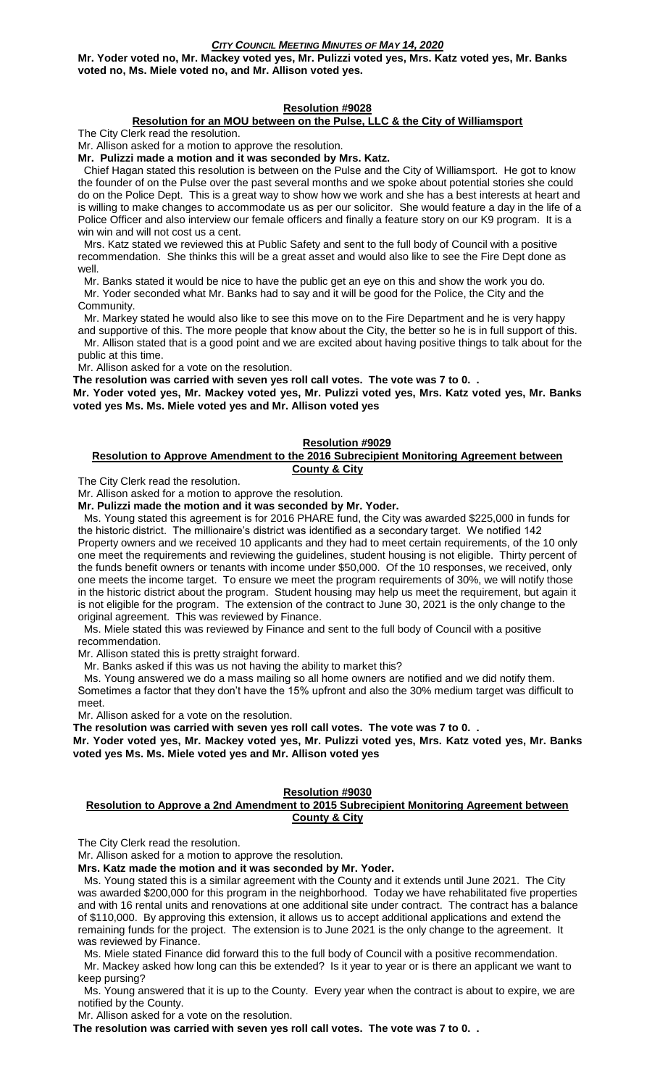**Mr. Yoder voted no, Mr. Mackey voted yes, Mr. Pulizzi voted yes, Mrs. Katz voted yes, Mr. Banks voted no, Ms. Miele voted no, and Mr. Allison voted yes.**

### **Resolution #9028**

### **Resolution for an MOU between on the Pulse, LLC & the City of Williamsport**

The City Clerk read the resolution.

Mr. Allison asked for a motion to approve the resolution.

**Mr. Pulizzi made a motion and it was seconded by Mrs. Katz.**

 Chief Hagan stated this resolution is between on the Pulse and the City of Williamsport. He got to know the founder of on the Pulse over the past several months and we spoke about potential stories she could do on the Police Dept. This is a great way to show how we work and she has a best interests at heart and is willing to make changes to accommodate us as per our solicitor. She would feature a day in the life of a Police Officer and also interview our female officers and finally a feature story on our K9 program. It is a win win and will not cost us a cent.

 Mrs. Katz stated we reviewed this at Public Safety and sent to the full body of Council with a positive recommendation. She thinks this will be a great asset and would also like to see the Fire Dept done as well.

 Mr. Banks stated it would be nice to have the public get an eye on this and show the work you do. Mr. Yoder seconded what Mr. Banks had to say and it will be good for the Police, the City and the

Community.

 Mr. Markey stated he would also like to see this move on to the Fire Department and he is very happy and supportive of this. The more people that know about the City, the better so he is in full support of this.

 Mr. Allison stated that is a good point and we are excited about having positive things to talk about for the public at this time.

Mr. Allison asked for a vote on the resolution.

**The resolution was carried with seven yes roll call votes. The vote was 7 to 0. .**

**Mr. Yoder voted yes, Mr. Mackey voted yes, Mr. Pulizzi voted yes, Mrs. Katz voted yes, Mr. Banks voted yes Ms. Ms. Miele voted yes and Mr. Allison voted yes**

#### **Resolution #9029**

#### **Resolution to Approve Amendment to the 2016 Subrecipient Monitoring Agreement between County & City**

The City Clerk read the resolution.

Mr. Allison asked for a motion to approve the resolution.

**Mr. Pulizzi made the motion and it was seconded by Mr. Yoder.**

 Ms. Young stated this agreement is for 2016 PHARE fund, the City was awarded \$225,000 in funds for the historic district. The millionaire's district was identified as a secondary target. We notified 142 Property owners and we received 10 applicants and they had to meet certain requirements, of the 10 only one meet the requirements and reviewing the guidelines, student housing is not eligible. Thirty percent of the funds benefit owners or tenants with income under \$50,000. Of the 10 responses, we received, only one meets the income target. To ensure we meet the program requirements of 30%, we will notify those in the historic district about the program. Student housing may help us meet the requirement, but again it is not eligible for the program. The extension of the contract to June 30, 2021 is the only change to the original agreement. This was reviewed by Finance.

 Ms. Miele stated this was reviewed by Finance and sent to the full body of Council with a positive recommendation.

Mr. Allison stated this is pretty straight forward.

Mr. Banks asked if this was us not having the ability to market this?

 Ms. Young answered we do a mass mailing so all home owners are notified and we did notify them. Sometimes a factor that they don't have the 15% upfront and also the 30% medium target was difficult to meet.

Mr. Allison asked for a vote on the resolution.

**The resolution was carried with seven yes roll call votes. The vote was 7 to 0. . Mr. Yoder voted yes, Mr. Mackey voted yes, Mr. Pulizzi voted yes, Mrs. Katz voted yes, Mr. Banks** 

**voted yes Ms. Ms. Miele voted yes and Mr. Allison voted yes**

### **Resolution #9030**

### **Resolution to Approve a 2nd Amendment to 2015 Subrecipient Monitoring Agreement between County & City**

The City Clerk read the resolution.

Mr. Allison asked for a motion to approve the resolution.

**Mrs. Katz made the motion and it was seconded by Mr. Yoder.**

 Ms. Young stated this is a similar agreement with the County and it extends until June 2021. The City was awarded \$200,000 for this program in the neighborhood. Today we have rehabilitated five properties and with 16 rental units and renovations at one additional site under contract. The contract has a balance of \$110,000. By approving this extension, it allows us to accept additional applications and extend the remaining funds for the project. The extension is to June 2021 is the only change to the agreement. It was reviewed by Finance.

 Ms. Miele stated Finance did forward this to the full body of Council with a positive recommendation. Mr. Mackey asked how long can this be extended? Is it year to year or is there an applicant we want to keep pursing?

 Ms. Young answered that it is up to the County. Every year when the contract is about to expire, we are notified by the County.

Mr. Allison asked for a vote on the resolution.

**The resolution was carried with seven yes roll call votes. The vote was 7 to 0. .**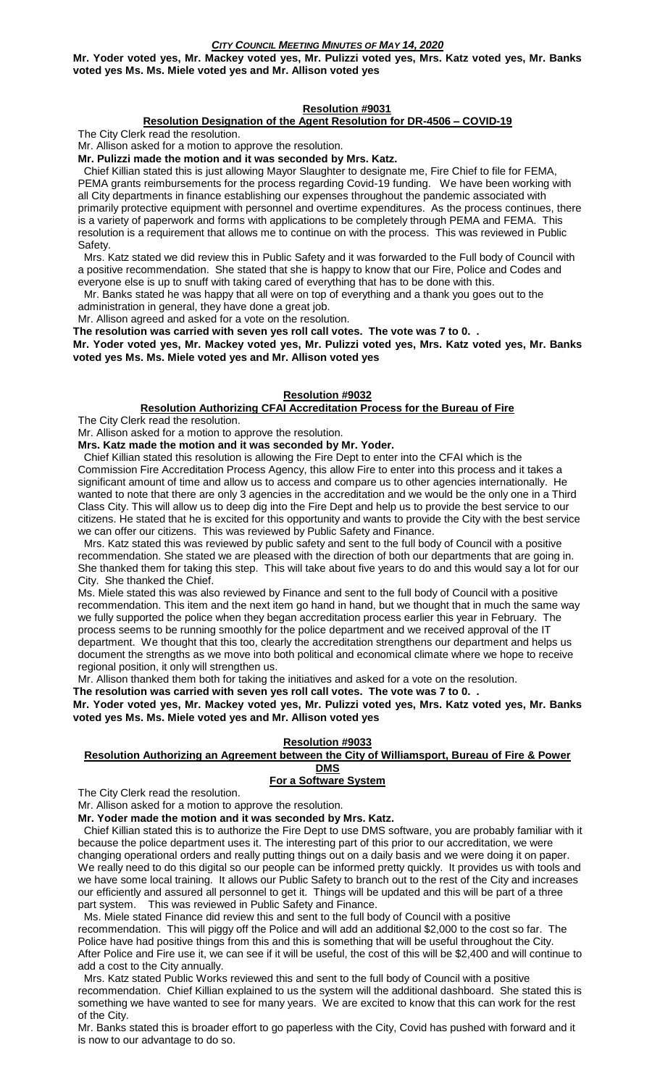**Mr. Yoder voted yes, Mr. Mackey voted yes, Mr. Pulizzi voted yes, Mrs. Katz voted yes, Mr. Banks voted yes Ms. Ms. Miele voted yes and Mr. Allison voted yes**

### **Resolution #9031**

### **Resolution Designation of the Agent Resolution for DR-4506 – COVID-19**

The City Clerk read the resolution.

Mr. Allison asked for a motion to approve the resolution.

**Mr. Pulizzi made the motion and it was seconded by Mrs. Katz.**

 Chief Killian stated this is just allowing Mayor Slaughter to designate me, Fire Chief to file for FEMA, PEMA grants reimbursements for the process regarding Covid-19 funding. We have been working with all City departments in finance establishing our expenses throughout the pandemic associated with primarily protective equipment with personnel and overtime expenditures. As the process continues, there is a variety of paperwork and forms with applications to be completely through PEMA and FEMA. This resolution is a requirement that allows me to continue on with the process. This was reviewed in Public Safety.

 Mrs. Katz stated we did review this in Public Safety and it was forwarded to the Full body of Council with a positive recommendation. She stated that she is happy to know that our Fire, Police and Codes and everyone else is up to snuff with taking cared of everything that has to be done with this.

 Mr. Banks stated he was happy that all were on top of everything and a thank you goes out to the administration in general, they have done a great job.

Mr. Allison agreed and asked for a vote on the resolution.

**The resolution was carried with seven yes roll call votes. The vote was 7 to 0. .**

**Mr. Yoder voted yes, Mr. Mackey voted yes, Mr. Pulizzi voted yes, Mrs. Katz voted yes, Mr. Banks voted yes Ms. Ms. Miele voted yes and Mr. Allison voted yes**

# **Resolution #9032**

**Resolution Authorizing CFAI Accreditation Process for the Bureau of Fire** The City Clerk read the resolution.

Mr. Allison asked for a motion to approve the resolution.

**Mrs. Katz made the motion and it was seconded by Mr. Yoder.**

 Chief Killian stated this resolution is allowing the Fire Dept to enter into the CFAI which is the Commission Fire Accreditation Process Agency, this allow Fire to enter into this process and it takes a significant amount of time and allow us to access and compare us to other agencies internationally. He wanted to note that there are only 3 agencies in the accreditation and we would be the only one in a Third Class City. This will allow us to deep dig into the Fire Dept and help us to provide the best service to our citizens. He stated that he is excited for this opportunity and wants to provide the City with the best service we can offer our citizens. This was reviewed by Public Safety and Finance.

 Mrs. Katz stated this was reviewed by public safety and sent to the full body of Council with a positive recommendation. She stated we are pleased with the direction of both our departments that are going in. She thanked them for taking this step. This will take about five years to do and this would say a lot for our City. She thanked the Chief.

Ms. Miele stated this was also reviewed by Finance and sent to the full body of Council with a positive recommendation. This item and the next item go hand in hand, but we thought that in much the same way we fully supported the police when they began accreditation process earlier this year in February. The process seems to be running smoothly for the police department and we received approval of the IT department. We thought that this too, clearly the accreditation strengthens our department and helps us document the strengths as we move into both political and economical climate where we hope to receive regional position, it only will strengthen us.

Mr. Allison thanked them both for taking the initiatives and asked for a vote on the resolution.

**The resolution was carried with seven yes roll call votes. The vote was 7 to 0. .**

**Mr. Yoder voted yes, Mr. Mackey voted yes, Mr. Pulizzi voted yes, Mrs. Katz voted yes, Mr. Banks voted yes Ms. Ms. Miele voted yes and Mr. Allison voted yes**

### **Resolution #9033**

#### **Resolution Authorizing an Agreement between the City of Williamsport, Bureau of Fire & Power DMS**

### **For a Software System**

The City Clerk read the resolution.

Mr. Allison asked for a motion to approve the resolution.

**Mr. Yoder made the motion and it was seconded by Mrs. Katz.**

 Chief Killian stated this is to authorize the Fire Dept to use DMS software, you are probably familiar with it because the police department uses it. The interesting part of this prior to our accreditation, we were changing operational orders and really putting things out on a daily basis and we were doing it on paper. We really need to do this digital so our people can be informed pretty quickly. It provides us with tools and we have some local training. It allows our Public Safety to branch out to the rest of the City and increases our efficiently and assured all personnel to get it. Things will be updated and this will be part of a three part system. This was reviewed in Public Safety and Finance.

 Ms. Miele stated Finance did review this and sent to the full body of Council with a positive recommendation. This will piggy off the Police and will add an additional \$2,000 to the cost so far. The Police have had positive things from this and this is something that will be useful throughout the City. After Police and Fire use it, we can see if it will be useful, the cost of this will be \$2,400 and will continue to add a cost to the City annually.

 Mrs. Katz stated Public Works reviewed this and sent to the full body of Council with a positive recommendation. Chief Killian explained to us the system will the additional dashboard. She stated this is something we have wanted to see for many years. We are excited to know that this can work for the rest of the City.

Mr. Banks stated this is broader effort to go paperless with the City, Covid has pushed with forward and it is now to our advantage to do so.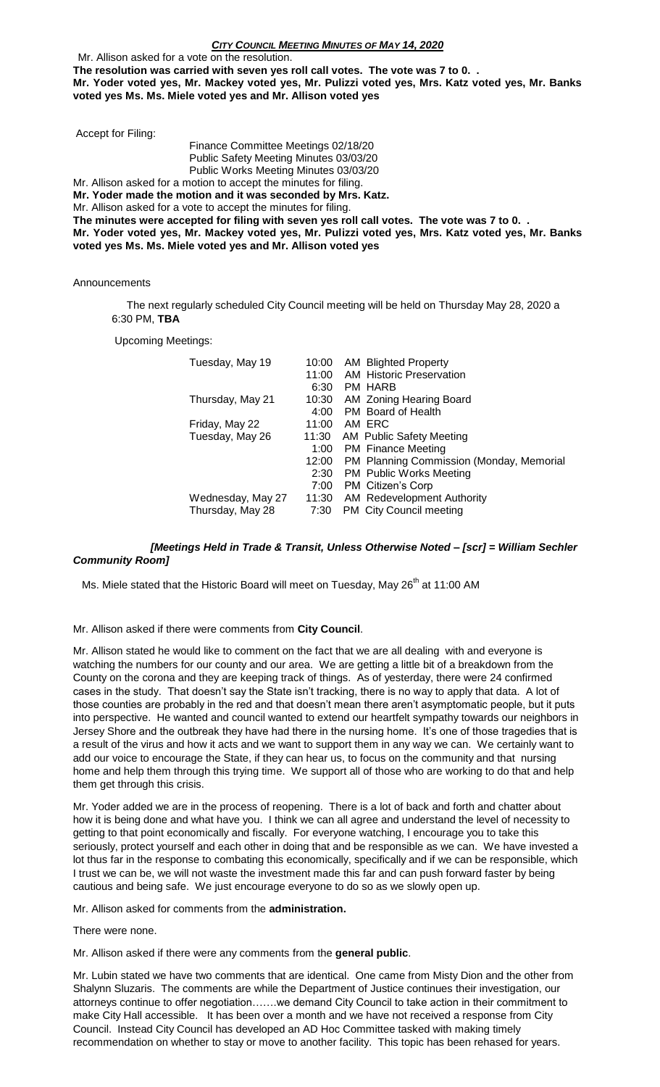Mr. Allison asked for a vote on the resolution. **The resolution was carried with seven yes roll call votes. The vote was 7 to 0. . Mr. Yoder voted yes, Mr. Mackey voted yes, Mr. Pulizzi voted yes, Mrs. Katz voted yes, Mr. Banks voted yes Ms. Ms. Miele voted yes and Mr. Allison voted yes**

Accept for Filing:

Finance Committee Meetings 02/18/20 Public Safety Meeting Minutes 03/03/20 Public Works Meeting Minutes 03/03/20

Mr. Allison asked for a motion to accept the minutes for filing.

**Mr. Yoder made the motion and it was seconded by Mrs. Katz.**

Mr. Allison asked for a vote to accept the minutes for filing.

**The minutes were accepted for filing with seven yes roll call votes. The vote was 7 to 0. . Mr. Yoder voted yes, Mr. Mackey voted yes, Mr. Pulizzi voted yes, Mrs. Katz voted yes, Mr. Banks voted yes Ms. Ms. Miele voted yes and Mr. Allison voted yes**

Announcements

 The next regularly scheduled City Council meeting will be held on Thursday May 28, 2020 a 6:30 PM, **TBA**

Upcoming Meetings:

| Tuesday, May 19   | 10:00<br>6:30 | AM Blighted Property<br>11:00 AM Historic Preservation<br>PM HARB |
|-------------------|---------------|-------------------------------------------------------------------|
| Thursday, May 21  | 10:30<br>4:00 | AM Zoning Hearing Board<br>PM Board of Health                     |
| Friday, May 22    | 11:00         | AM ERC                                                            |
| Tuesday, May 26   | 11:30         | AM Public Safety Meeting                                          |
|                   | 1:00          | <b>PM</b> Finance Meeting                                         |
|                   | 12:00         | PM Planning Commission (Monday, Memorial                          |
|                   | 2:30          | <b>PM</b> Public Works Meeting                                    |
|                   | 7:00          | PM Citizen's Corp                                                 |
| Wednesday, May 27 | 11:30         | <b>AM Redevelopment Authority</b>                                 |
| Thursday, May 28  | 7:30          | PM City Council meeting                                           |

# *[Meetings Held in Trade & Transit, Unless Otherwise Noted – [scr] = William Sechler Community Room]*

Ms. Miele stated that the Historic Board will meet on Tuesday, May 26<sup>th</sup> at 11:00 AM

Mr. Allison asked if there were comments from **City Council**.

Mr. Allison stated he would like to comment on the fact that we are all dealing with and everyone is watching the numbers for our county and our area. We are getting a little bit of a breakdown from the County on the corona and they are keeping track of things. As of yesterday, there were 24 confirmed cases in the study. That doesn't say the State isn't tracking, there is no way to apply that data. A lot of those counties are probably in the red and that doesn't mean there aren't asymptomatic people, but it puts into perspective. He wanted and council wanted to extend our heartfelt sympathy towards our neighbors in Jersey Shore and the outbreak they have had there in the nursing home. It's one of those tragedies that is a result of the virus and how it acts and we want to support them in any way we can. We certainly want to add our voice to encourage the State, if they can hear us, to focus on the community and that nursing home and help them through this trying time. We support all of those who are working to do that and help them get through this crisis.

Mr. Yoder added we are in the process of reopening. There is a lot of back and forth and chatter about how it is being done and what have you. I think we can all agree and understand the level of necessity to getting to that point economically and fiscally. For everyone watching, I encourage you to take this seriously, protect yourself and each other in doing that and be responsible as we can. We have invested a lot thus far in the response to combating this economically, specifically and if we can be responsible, which I trust we can be, we will not waste the investment made this far and can push forward faster by being cautious and being safe. We just encourage everyone to do so as we slowly open up.

Mr. Allison asked for comments from the **administration.**

There were none.

Mr. Allison asked if there were any comments from the **general public**.

Mr. Lubin stated we have two comments that are identical. One came from Misty Dion and the other from Shalynn Sluzaris. The comments are while the Department of Justice continues their investigation, our attorneys continue to offer negotiation…….we demand City Council to take action in their commitment to make City Hall accessible. It has been over a month and we have not received a response from City Council. Instead City Council has developed an AD Hoc Committee tasked with making timely recommendation on whether to stay or move to another facility. This topic has been rehased for years.